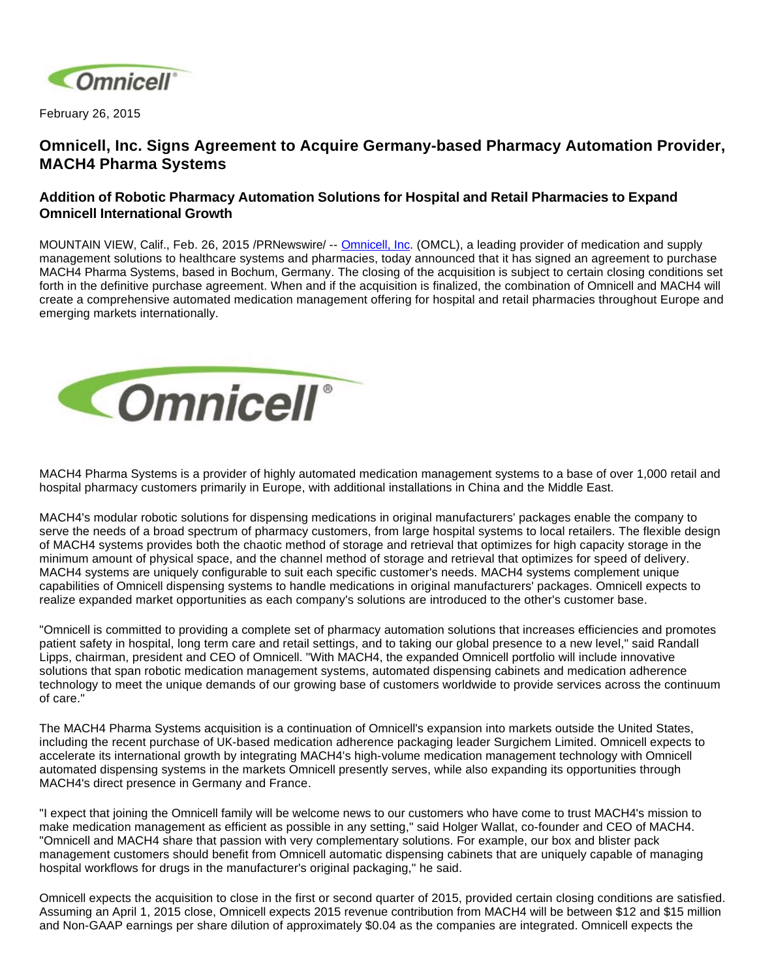

February 26, 2015

## **Omnicell, Inc. Signs Agreement to Acquire Germany-based Pharmacy Automation Provider, MACH4 Pharma Systems**

## **Addition of Robotic Pharmacy Automation Solutions for Hospital and Retail Pharmacies to Expand Omnicell International Growth**

MOUNTAIN VIEW, Calif., Feb. 26, 2015 /PRNewswire/ -- [Omnicell, Inc.](http://www.omnicell.com/) (OMCL), a leading provider of medication and supply management solutions to healthcare systems and pharmacies, today announced that it has signed an agreement to purchase MACH4 Pharma Systems, based in Bochum, Germany. The closing of the acquisition is subject to certain closing conditions set forth in the definitive purchase agreement. When and if the acquisition is finalized, the combination of Omnicell and MACH4 will create a comprehensive automated medication management offering for hospital and retail pharmacies throughout Europe and emerging markets internationally.



MACH4 Pharma Systems is a provider of highly automated medication management systems to a base of over 1,000 retail and hospital pharmacy customers primarily in Europe, with additional installations in China and the Middle East.

MACH4's modular robotic solutions for dispensing medications in original manufacturers' packages enable the company to serve the needs of a broad spectrum of pharmacy customers, from large hospital systems to local retailers. The flexible design of MACH4 systems provides both the chaotic method of storage and retrieval that optimizes for high capacity storage in the minimum amount of physical space, and the channel method of storage and retrieval that optimizes for speed of delivery. MACH4 systems are uniquely configurable to suit each specific customer's needs. MACH4 systems complement unique capabilities of Omnicell dispensing systems to handle medications in original manufacturers' packages. Omnicell expects to realize expanded market opportunities as each company's solutions are introduced to the other's customer base.

"Omnicell is committed to providing a complete set of pharmacy automation solutions that increases efficiencies and promotes patient safety in hospital, long term care and retail settings, and to taking our global presence to a new level," said Randall Lipps, chairman, president and CEO of Omnicell. "With MACH4, the expanded Omnicell portfolio will include innovative solutions that span robotic medication management systems, automated dispensing cabinets and medication adherence technology to meet the unique demands of our growing base of customers worldwide to provide services across the continuum of care."

The MACH4 Pharma Systems acquisition is a continuation of Omnicell's expansion into markets outside the United States, including the recent purchase of UK-based medication adherence packaging leader Surgichem Limited. Omnicell expects to accelerate its international growth by integrating MACH4's high-volume medication management technology with Omnicell automated dispensing systems in the markets Omnicell presently serves, while also expanding its opportunities through MACH4's direct presence in Germany and France.

"I expect that joining the Omnicell family will be welcome news to our customers who have come to trust MACH4's mission to make medication management as efficient as possible in any setting," said Holger Wallat, co-founder and CEO of MACH4. "Omnicell and MACH4 share that passion with very complementary solutions. For example, our box and blister pack management customers should benefit from Omnicell automatic dispensing cabinets that are uniquely capable of managing hospital workflows for drugs in the manufacturer's original packaging," he said.

Omnicell expects the acquisition to close in the first or second quarter of 2015, provided certain closing conditions are satisfied. Assuming an April 1, 2015 close, Omnicell expects 2015 revenue contribution from MACH4 will be between \$12 and \$15 million and Non-GAAP earnings per share dilution of approximately \$0.04 as the companies are integrated. Omnicell expects the